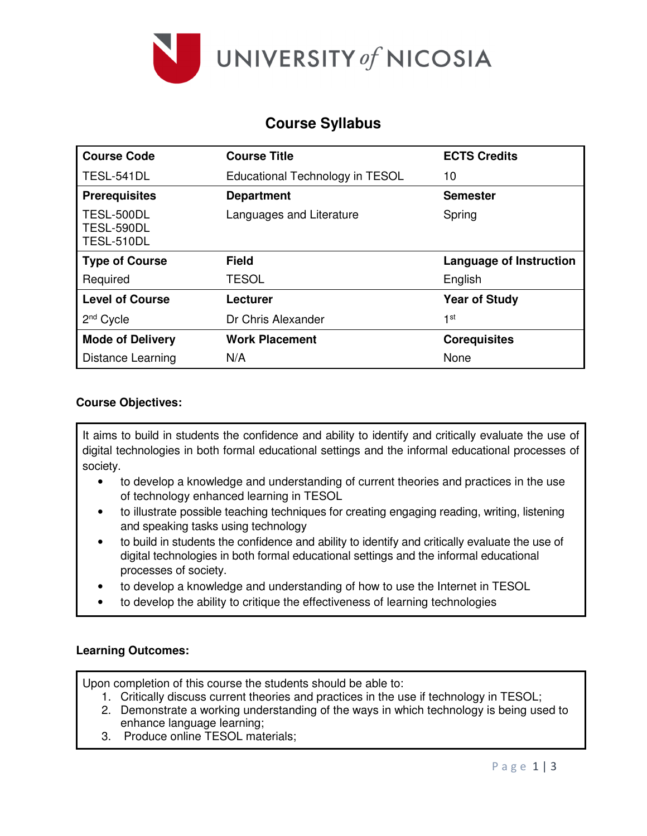

# **Course Syllabus**

| <b>Course Code</b>                     | <b>Course Title</b>             | <b>ECTS Credits</b>     |  |
|----------------------------------------|---------------------------------|-------------------------|--|
| TESL-541DL                             | Educational Technology in TESOL | 10                      |  |
| <b>Prerequisites</b>                   | <b>Department</b>               | <b>Semester</b>         |  |
| TESL-500DL<br>TESL-590DL<br>TESL-510DL | Languages and Literature        | Spring                  |  |
| <b>Type of Course</b>                  | <b>Field</b>                    | Language of Instruction |  |
| Required                               | <b>TESOL</b>                    | English                 |  |
| <b>Level of Course</b>                 | Lecturer                        | <b>Year of Study</b>    |  |
| $2nd$ Cycle                            | Dr Chris Alexander              | 1st                     |  |
| <b>Mode of Delivery</b>                | <b>Work Placement</b>           | <b>Corequisites</b>     |  |
| Distance Learning                      | N/A                             | None                    |  |

### **Course Objectives:**

It aims to build in students the confidence and ability to identify and critically evaluate the use of digital technologies in both formal educational settings and the informal educational processes of society.

- to develop a knowledge and understanding of current theories and practices in the use of technology enhanced learning in TESOL
- to illustrate possible teaching techniques for creating engaging reading, writing, listening and speaking tasks using technology
- to build in students the confidence and ability to identify and critically evaluate the use of digital technologies in both formal educational settings and the informal educational processes of society.
- to develop a knowledge and understanding of how to use the Internet in TESOL
- to develop the ability to critique the effectiveness of learning technologies

#### **Learning Outcomes:**

Upon completion of this course the students should be able to:

- 1. Critically discuss current theories and practices in the use if technology in TESOL;
- 2. Demonstrate a working understanding of the ways in which technology is being used to enhance language learning;
- 3. Produce online TESOL materials;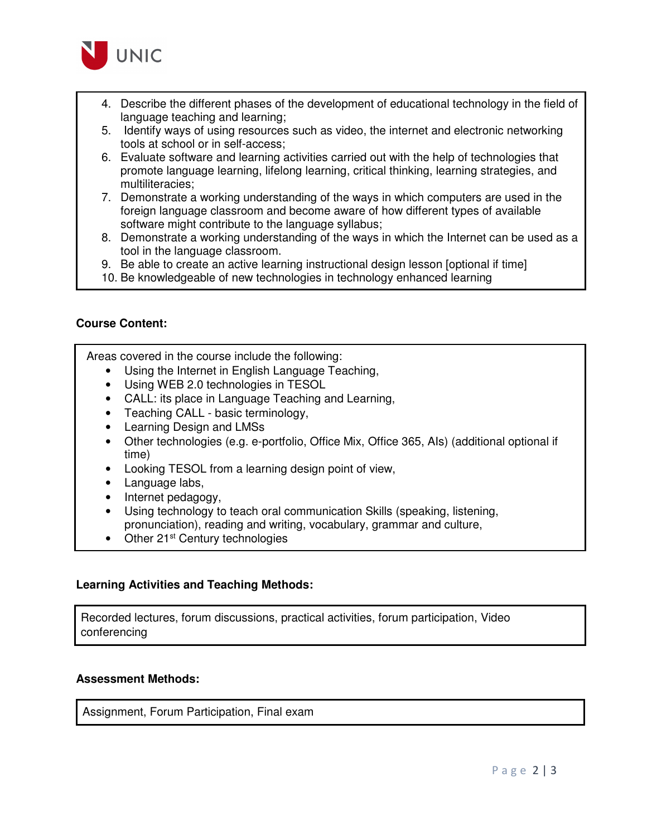

- 4. Describe the different phases of the development of educational technology in the field of language teaching and learning;
- 5. Identify ways of using resources such as video, the internet and electronic networking tools at school or in self-access;
- 6. Evaluate software and learning activities carried out with the help of technologies that promote language learning, lifelong learning, critical thinking, learning strategies, and multiliteracies;
- 7. Demonstrate a working understanding of the ways in which computers are used in the foreign language classroom and become aware of how different types of available software might contribute to the language syllabus;
- 8. Demonstrate a working understanding of the ways in which the Internet can be used as a tool in the language classroom.
- 9. Be able to create an active learning instructional design lesson [optional if time]
- 10. Be knowledgeable of new technologies in technology enhanced learning

#### **Course Content:**

Areas covered in the course include the following:

- Using the Internet in English Language Teaching,
- Using WEB 2.0 technologies in TESOL
- CALL: its place in Language Teaching and Learning,
- Teaching CALL basic terminology,
- Learning Design and LMSs
- Other technologies (e.g. e-portfolio, Office Mix, Office 365, AIs) (additional optional if time)
- Looking TESOL from a learning design point of view,
- Language labs,
- Internet pedagogy,
- Using technology to teach oral communication Skills (speaking, listening, pronunciation), reading and writing, vocabulary, grammar and culture,
- Other 21<sup>st</sup> Century technologies

#### **Learning Activities and Teaching Methods:**

Recorded lectures, forum discussions, practical activities, forum participation, Video conferencing

#### **Assessment Methods:**

Assignment, Forum Participation, Final exam